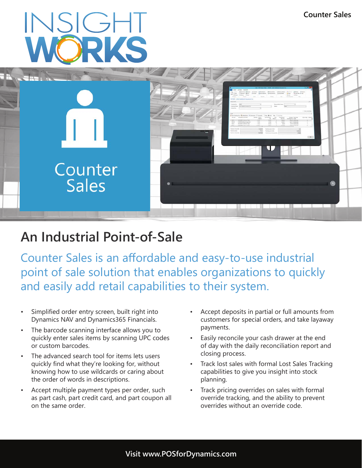# INSIGHT



## **An Industrial Point-of-Sale**

Counter Sales is an affordable and easy-to-use industrial point of sale solution that enables organizations to quickly and easily add retail capabilities to their system.

- Simplified order entry screen, built right into Dynamics NAV and Dynamics365 Financials.
- The barcode scanning interface allows you to quickly enter sales items by scanning UPC codes or custom barcodes.
- The advanced search tool for items lets users quickly find what they're looking for, without knowing how to use wildcards or caring about the order of words in descriptions.
- Accept multiple payment types per order, such as part cash, part credit card, and part coupon all on the same order.
- Accept deposits in partial or full amounts from customers for special orders, and take layaway payments.
- Easily reconcile your cash drawer at the end of day with the daily reconciliation report and closing process.
- Track lost sales with formal Lost Sales Tracking capabilities to give you insight into stock planning.
- Track pricing overrides on sales with formal override tracking, and the ability to prevent overrides without an override code.